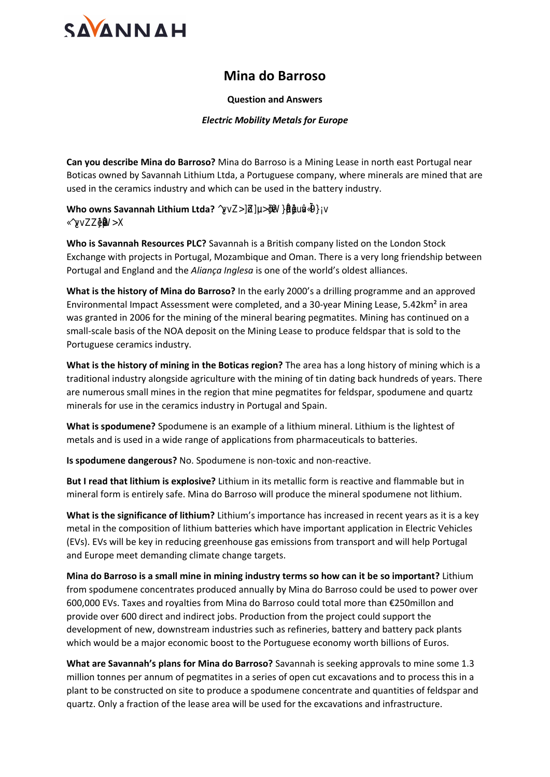## **Mina do Barroso**

## **Question and Answers**

## *Electric Mobility Metals for Europe*

**Can you describe Mina do Barroso?** Mina do Barroso is a Mining Lease in north east Portugal near Boticas owned by Savannah Lithium Ltda, a Portuguese company, where minerals are mined that are used in the ceramics industry and which can be used in the battery industry.

## **Who owns Savannah Lithium Ltda? ^-Àvv-Z>]šZµu>š-]•W}ŒšµPµ•}u‰-vÇíì9}Áv Ç^-Àvv-Z•}µŒW>X**

**Who is Savannah Resources PLC?** Savannah is a British company listed on the London Stock Exchange with projects in Portugal, Mozambique and Oman. There is a very long friendship between Portugal and England and the *Aliança Inglesa* is one of the world's oldest alliances.

**What is the history of Mina do Barroso?** In the early 2000's a drilling programme and an approved Environmental Impact Assessment were completed, and a 30-year Mining Lease, 5.42km² in area was granted in 2006 for the mining of the mineral bearing pegmatites. Mining has continued on a small-scale basis of the NOA deposit on the Mining Lease to produce feldspar that is sold to the Portuguese ceramics industry.

**What is the history of mining in the Boticas region?** The area has a long history of mining which is a traditional industry alongside agriculture with the mining of tin dating back hundreds of years. There are numerous small mines in the region that mine pegmatites for feldspar, spodumene and quartz minerals for use in the ceramics industry in Portugal and Spain.

**What is spodumene?** Spodumene is an example of a lithium mineral. Lithium is the lightest of metals and is used in a wide range of applications from pharmaceuticals to batteries.

**Is spodumene dangerous?** No. Spodumene is non-toxic and non-reactive.

**But I read that lithium is explosive?** Lithium in its metallic form is reactive and flammable but in mineral form is entirely safe. Mina do Barroso will produce the mineral spodumene not lithium.

**What is the significance of lithium?** Lithium's importance has increased in recent years as it is a key metal in the composition of lithium batteries which have important application in Electric Vehicles (EVs). EVs will be key in reducing greenhouse gas emissions from transport and will help Portugal and Europe meet demanding climate change targets.

**Mina do Barroso is a small mine in mining industry terms so how can it be so important?** Lithium from spodumene concentrates produced annually by Mina do Barroso could be used to power over 600,000 EVs. Taxes and royalties from Mina do Barroso could total more than €250millon and provide over 600 direct and indirect jobs. Production from the project could support the development of new, downstream industries such as refineries, battery and battery pack plants which would be a major economic boost to the Portuguese economy worth billions of Euros.

**What are Savannah's plans for Mina do Barroso?** Savannah is seeking approvals to mine some 1.3 million tonnes per annum of pegmatites in a series of open cut excavations and to process this in a plant to be constructed on site to produce a spodumene concentrate and quantities of feldspar and quartz. Only a fraction of the lease area will be used for the excavations and infrastructure.